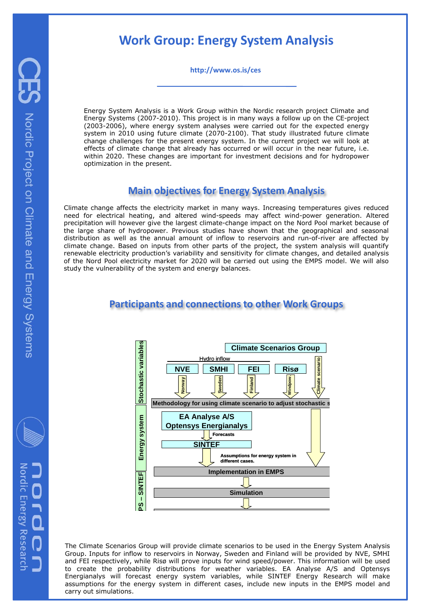# **Work Group: Energy System Analysis**

**http://www.os.is/ces**

Energy System Analysis is a Work Group within the Nordic research project Climate and Energy Systems (2007-2010). This project is in many ways a follow up on the CE-project (2003-2006), where energy system analyses were carried out for the expected energy system in 2010 using future climate (2070-2100). That study illustrated future climate change challenges for the present energy system. In the current project we will look at effects of climate change that already has occurred or will occur in the near future, i.e. within 2020. These changes are important for investment decisions and for hydropower optimization in the present.

## **Main objectives for Energy System Analysis**

Climate change affects the electricity market in many ways. Increasing temperatures gives reduced need for electrical heating, and altered wind-speeds may affect wind-power generation. Altered precipitation will however give the largest climate-change impact on the Nord Pool market because of the large share of hydropower. Previous studies have shown that the geographical and seasonal distribution as well as the annual amount of inflow to reservoirs and run-of-river are affected by climate change. Based on inputs from other parts of the project, the system analysis will quantify renewable electricity production's variability and sensitivity for climate changes, and detailed analysis of the Nord Pool electricity market for 2020 will be carried out using the EMPS model. We will also study the vulnerability of the system and energy balances.

# **Participants and connections to other Work Groups**



The Climate Scenarios Group will provide climate scenarios to be used in the Energy System Analysis Group. Inputs for inflow to reservoirs in Norway, Sweden and Finland will be provided by NVE, SMHI and FEI respectively, while Risø will prove inputs for wind speed/power. This information will be used to create the probability distributions for weather variables. EA Analyse A/S and Optensys Energianalys will forecast energy system variables, while SINTEF Energy Research will make assumptions for the energy system in different cases, include new inputs in the EMPS model and carry out simulations.

Nordic Energy Researcl